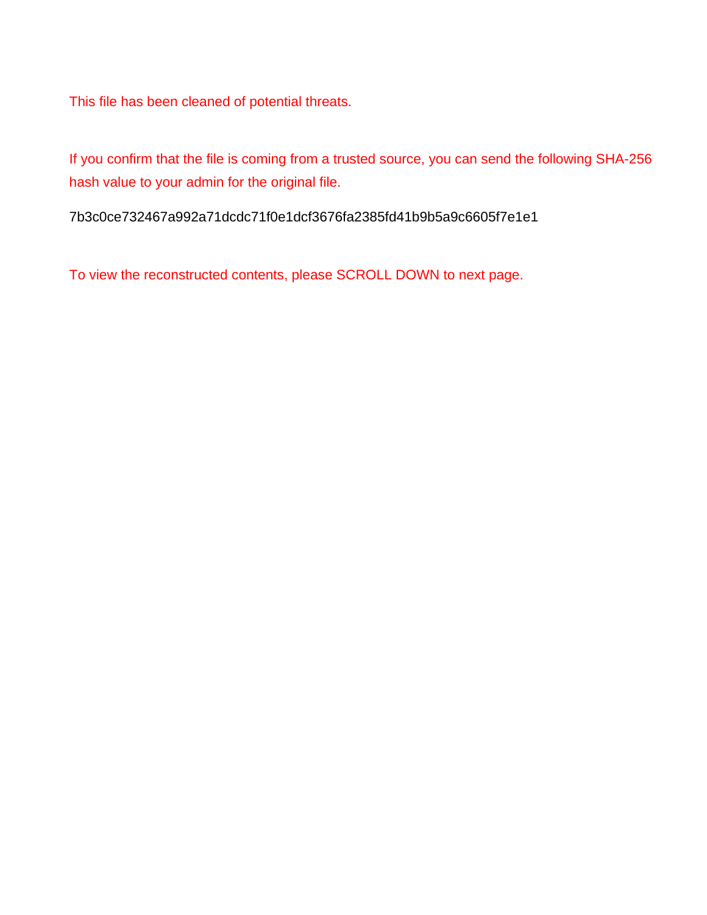This file has been cleaned of potential threats.

If you confirm that the file is coming from a trusted source, you can send the following SHA-256 hash value to your admin for the original file.

7b3c0ce732467a992a71dcdc71f0e1dcf3676fa2385fd41b9b5a9c6605f7e1e1

To view the reconstructed contents, please SCROLL DOWN to next page.